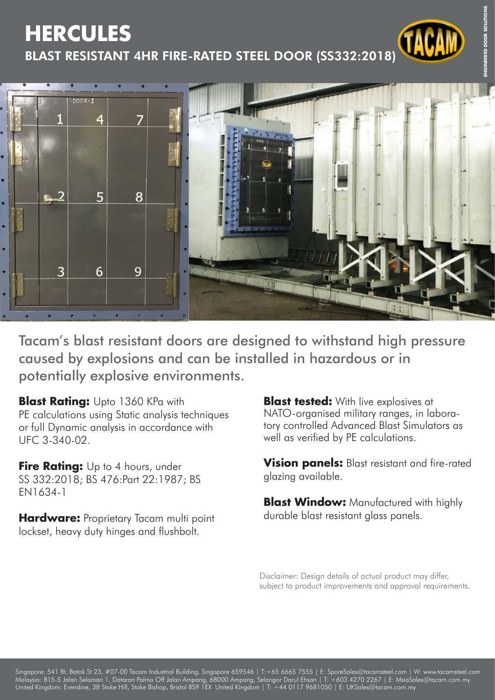## **HERCULES**

BLAST RESISTANT 4HR FIRE-RATED STEEL DOOR (SS332:2018)



Tacam's blast resistant doors are designed to withstand high pressure caused by explosions and can be installed in hazardous or in potentially explosive environments.

**Blast Rating: Upto 1360 KPa with** PE calculations using Static analysis techniques or full Dynamic analysis in accordance with UFC 3-340-02.

**Fire Rating:** Up to 4 hours, under SS 332:2018; BS 476:Part 22:1987; BS EN1634-1

**Hardware:** Proprietary Tacam multi point lockset, heavy duty hinges and flushbolt.

**Blast tested:** With live explosives at NATO-organised military ranges, in laboratory controlled Advanced Blast Simulators as well as verified by PE calculations.

**Vision panels:** Blast resistant and fire-rated glazing available.

**Blast Window:** Manufactured with highly durable blast resistant glass panels.

Disclaimer: Design details of actual product may differ, subject to product improvements and approval requirements.